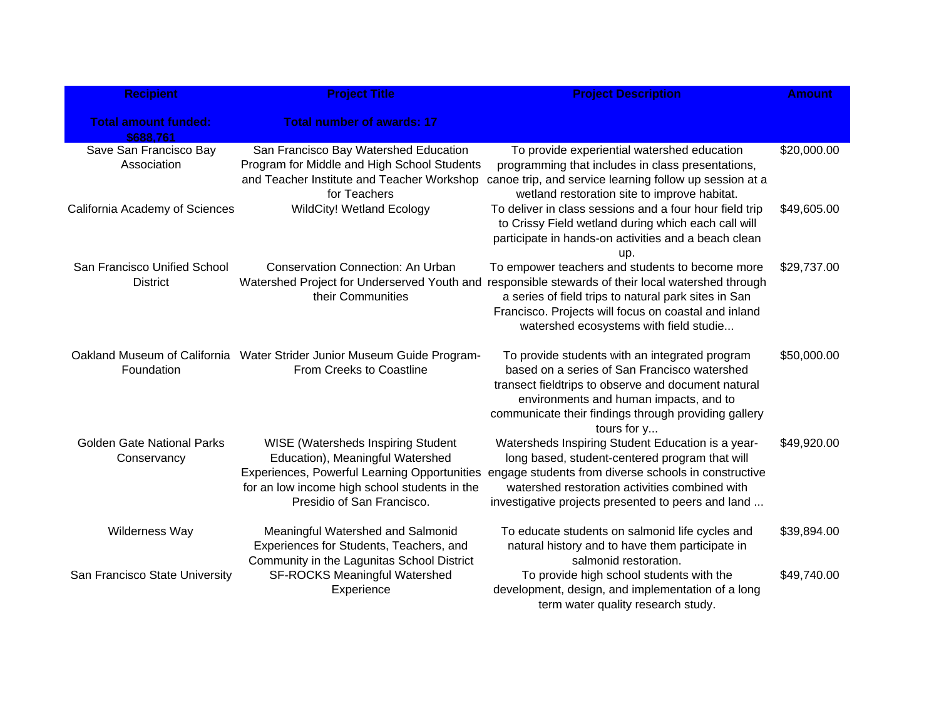| <b>Recipient</b>                                 | <b>Project Title</b>                                                                                                                                                                                                | <b>Project Description</b>                                                                                                                                                                                                                                             | <b>Amount</b> |
|--------------------------------------------------|---------------------------------------------------------------------------------------------------------------------------------------------------------------------------------------------------------------------|------------------------------------------------------------------------------------------------------------------------------------------------------------------------------------------------------------------------------------------------------------------------|---------------|
| <b>Total amount funded:</b><br>\$688,761         | <b>Total number of awards: 17</b>                                                                                                                                                                                   |                                                                                                                                                                                                                                                                        |               |
| Save San Francisco Bay<br>Association            | San Francisco Bay Watershed Education<br>Program for Middle and High School Students<br>and Teacher Institute and Teacher Workshop<br>for Teachers                                                                  | To provide experiential watershed education<br>programming that includes in class presentations,<br>canoe trip, and service learning follow up session at a<br>wetland restoration site to improve habitat.                                                            | \$20,000.00   |
| California Academy of Sciences                   | <b>WildCity! Wetland Ecology</b>                                                                                                                                                                                    | To deliver in class sessions and a four hour field trip<br>to Crissy Field wetland during which each call will<br>participate in hands-on activities and a beach clean<br>up.                                                                                          | \$49,605.00   |
| San Francisco Unified School<br><b>District</b>  | <b>Conservation Connection: An Urban</b><br>Watershed Project for Underserved Youth and<br>their Communities                                                                                                        | To empower teachers and students to become more<br>responsible stewards of their local watershed through<br>a series of field trips to natural park sites in San<br>Francisco. Projects will focus on coastal and inland<br>watershed ecosystems with field studie     | \$29,737.00   |
| Foundation                                       | Oakland Museum of California Water Strider Junior Museum Guide Program-<br>From Creeks to Coastline                                                                                                                 | To provide students with an integrated program<br>based on a series of San Francisco watershed<br>transect fieldtrips to observe and document natural<br>environments and human impacts, and to<br>communicate their findings through providing gallery<br>tours for y | \$50,000.00   |
| <b>Golden Gate National Parks</b><br>Conservancy | <b>WISE (Watersheds Inspiring Student</b><br>Education), Meaningful Watershed<br><b>Experiences, Powerful Learning Opportunities</b><br>for an low income high school students in the<br>Presidio of San Francisco. | Watersheds Inspiring Student Education is a year-<br>long based, student-centered program that will<br>engage students from diverse schools in constructive<br>watershed restoration activities combined with<br>investigative projects presented to peers and land    | \$49,920.00   |
| Wilderness Way                                   | Meaningful Watershed and Salmonid<br>Experiences for Students, Teachers, and<br>Community in the Lagunitas School District                                                                                          | To educate students on salmonid life cycles and<br>natural history and to have them participate in<br>salmonid restoration.                                                                                                                                            | \$39,894.00   |
| San Francisco State University                   | <b>SF-ROCKS Meaningful Watershed</b><br>Experience                                                                                                                                                                  | To provide high school students with the<br>development, design, and implementation of a long<br>term water quality research study.                                                                                                                                    | \$49,740.00   |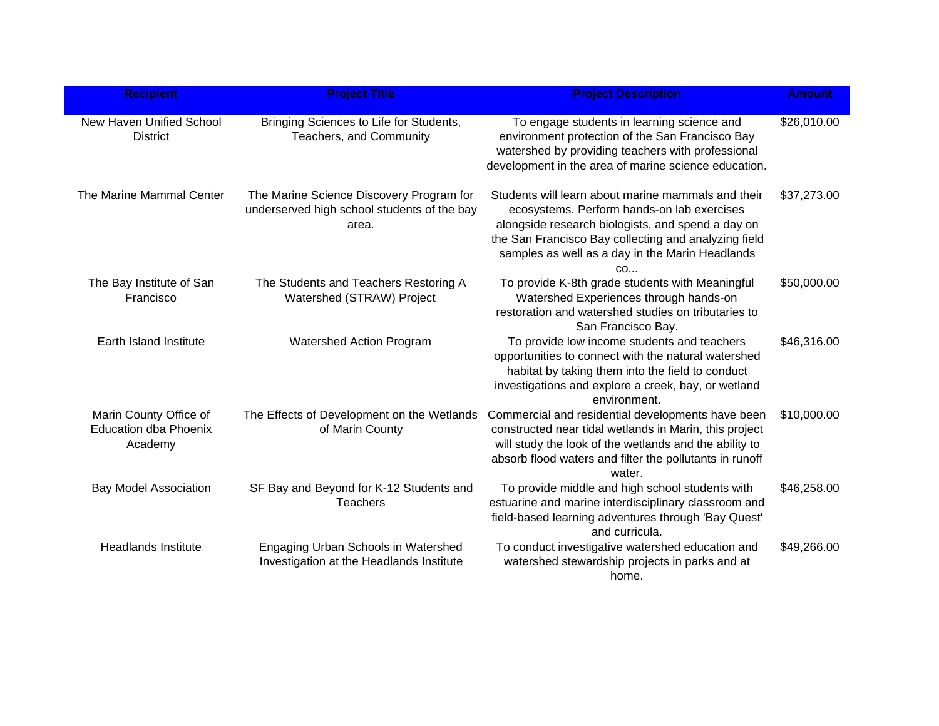| <b>Recipient</b>                                                  | <b>Project Title</b>                                                                             | <b>Project Description</b>                                                                                                                                                                                                                                             | <b>Amount</b> |
|-------------------------------------------------------------------|--------------------------------------------------------------------------------------------------|------------------------------------------------------------------------------------------------------------------------------------------------------------------------------------------------------------------------------------------------------------------------|---------------|
| New Haven Unified School<br><b>District</b>                       | Bringing Sciences to Life for Students,<br>Teachers, and Community                               | To engage students in learning science and<br>environment protection of the San Francisco Bay<br>watershed by providing teachers with professional<br>development in the area of marine science education.                                                             | \$26,010.00   |
| The Marine Mammal Center                                          | The Marine Science Discovery Program for<br>underserved high school students of the bay<br>area. | Students will learn about marine mammals and their<br>ecosystems. Perform hands-on lab exercises<br>alongside research biologists, and spend a day on<br>the San Francisco Bay collecting and analyzing field<br>samples as well as a day in the Marin Headlands<br>CO | \$37,273.00   |
| The Bay Institute of San<br>Francisco                             | The Students and Teachers Restoring A<br>Watershed (STRAW) Project                               | To provide K-8th grade students with Meaningful<br>Watershed Experiences through hands-on<br>restoration and watershed studies on tributaries to<br>San Francisco Bay.                                                                                                 | \$50,000.00   |
| Earth Island Institute                                            | Watershed Action Program                                                                         | To provide low income students and teachers<br>opportunities to connect with the natural watershed<br>habitat by taking them into the field to conduct<br>investigations and explore a creek, bay, or wetland<br>environment.                                          | \$46,316.00   |
| Marin County Office of<br><b>Education dba Phoenix</b><br>Academy | The Effects of Development on the Wetlands<br>of Marin County                                    | Commercial and residential developments have been<br>constructed near tidal wetlands in Marin, this project<br>will study the look of the wetlands and the ability to<br>absorb flood waters and filter the pollutants in runoff<br>water.                             | \$10,000.00   |
| <b>Bay Model Association</b>                                      | SF Bay and Beyond for K-12 Students and<br><b>Teachers</b>                                       | To provide middle and high school students with<br>estuarine and marine interdisciplinary classroom and<br>field-based learning adventures through 'Bay Quest'<br>and curricula.                                                                                       | \$46,258.00   |
| <b>Headlands Institute</b>                                        | Engaging Urban Schools in Watershed<br>Investigation at the Headlands Institute                  | To conduct investigative watershed education and<br>watershed stewardship projects in parks and at<br>home.                                                                                                                                                            | \$49,266.00   |